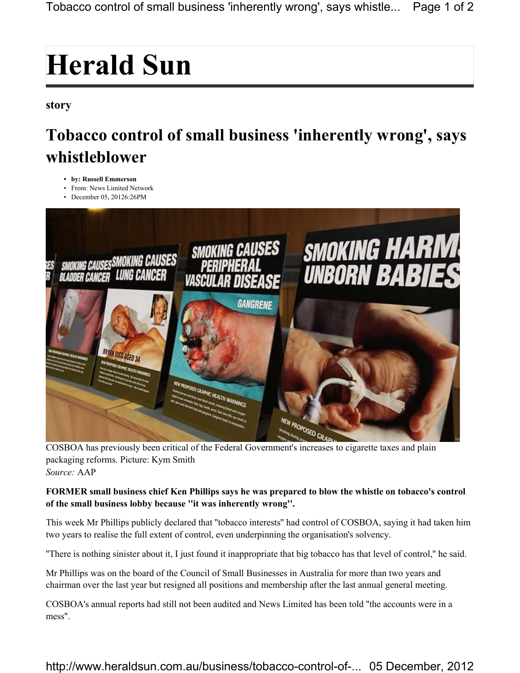## **Herald Sun**

## **story**

## **Tobacco control of small business 'inherently wrong', says whistleblower**

- **by: Russell Emmerson**
- From: News Limited Network
- December 05, 20126:26PM



packaging reforms. Picture: Kym Smith *Source:* AAP

## **FORMER small business chief Ken Phillips says he was prepared to blow the whistle on tobacco's control of the small business lobby because ''it was inherently wrong''.**

This week Mr Phillips publicly declared that ''tobacco interests'' had control of COSBOA, saying it had taken him two years to realise the full extent of control, even underpinning the organisation's solvency.

''There is nothing sinister about it, I just found it inappropriate that big tobacco has that level of control,'' he said.

Mr Phillips was on the board of the Council of Small Businesses in Australia for more than two years and chairman over the last year but resigned all positions and membership after the last annual general meeting.

COSBOA's annual reports had still not been audited and News Limited has been told ''the accounts were in a mess''.